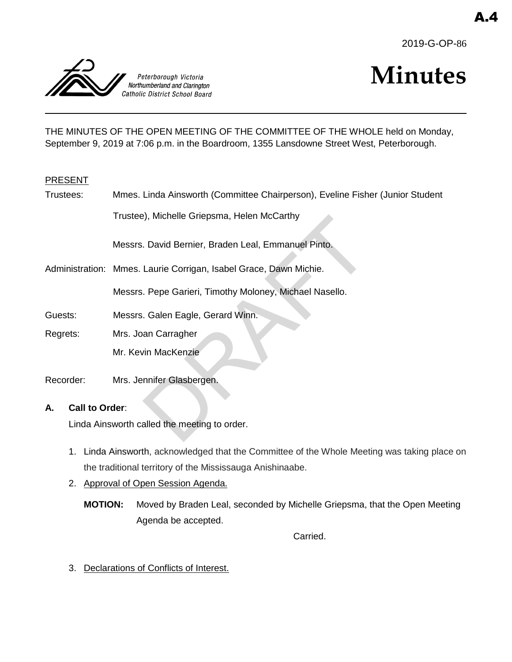



# **Minutes**

THE MINUTES OF THE OPEN MEETING OF THE COMMITTEE OF THE WHOLE held on Monday, September 9, 2019 at 7:06 p.m. in the Boardroom, 1355 Lansdowne Street West, Peterborough.

### PRESENT

| Trustees:                                    | Mmes. Linda Ainsworth (Committee Chairperson), Eveline Fisher (Junior Student |
|----------------------------------------------|-------------------------------------------------------------------------------|
|                                              | Trustee), Michelle Griepsma, Helen McCarthy                                   |
|                                              | Messrs. David Bernier, Braden Leal, Emmanuel Pinto.                           |
|                                              | Administration: Mmes. Laurie Corrigan, Isabel Grace, Dawn Michie.             |
|                                              | Messrs. Pepe Garieri, Timothy Moloney, Michael Nasello.                       |
| Guests:                                      | Messrs. Galen Eagle, Gerard Winn.                                             |
| Regrets:                                     | Mrs. Joan Carragher                                                           |
|                                              | Mr. Kevin MacKenzie                                                           |
| Recorder:                                    | Mrs. Jennifer Glasbergen.                                                     |
| Call to Order:<br>А.                         |                                                                               |
| Linda Ainsworth called the meeting to order. |                                                                               |

- 1. Linda Ainsworth, acknowledged that the Committee of the Whole Meeting was taking place on the traditional territory of the Mississauga Anishinaabe.
- 2. Approval of Open Session Agenda.

**MOTION:** Moved by Braden Leal, seconded by Michelle Griepsma, that the Open Meeting Agenda be accepted.

Carried.

3. Declarations of Conflicts of Interest.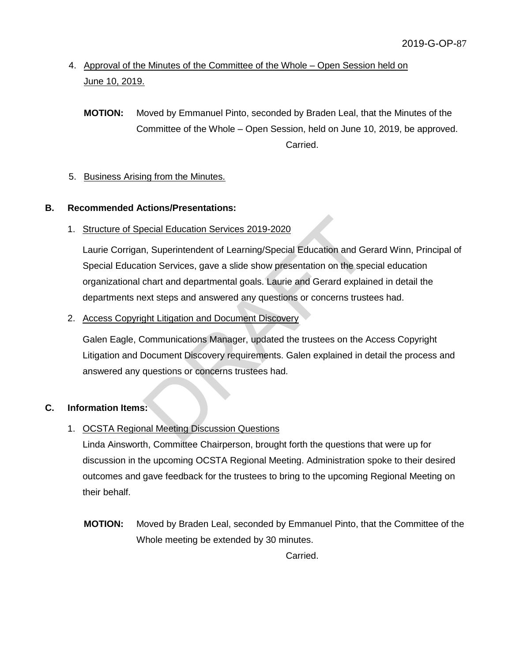## 4. Approval of the Minutes of the Committee of the Whole – Open Session held on June 10, 2019.

**MOTION:** Moved by Emmanuel Pinto, seconded by Braden Leal, that the Minutes of the Committee of the Whole – Open Session, held on June 10, 2019, be approved. Carried.

## 5. Business Arising from the Minutes.

## **B. Recommended Actions/Presentations:**

## 1. Structure of Special Education Services 2019-2020

Laurie Corrigan, Superintendent of Learning/Special Education and Gerard Winn, Principal of Special Education Services, gave a slide show presentation on the special education organizational chart and departmental goals. Laurie and Gerard explained in detail the departments next steps and answered any questions or concerns trustees had. DRET Education Services 2019-2020<br>
The Superintendent of Learning/Special Education and Geral Conservices, gave a slide show presentation on the spectrant and departmental goals. Laurie and Gerard explaint<br>
ext steps and a

## 2. Access Copyright Litigation and Document Discovery

Galen Eagle, Communications Manager, updated the trustees on the Access Copyright Litigation and Document Discovery requirements. Galen explained in detail the process and answered any questions or concerns trustees had.

## **C. Information Items:**

## 1. OCSTA Regional Meeting Discussion Questions

Linda Ainsworth, Committee Chairperson, brought forth the questions that were up for discussion in the upcoming OCSTA Regional Meeting. Administration spoke to their desired outcomes and gave feedback for the trustees to bring to the upcoming Regional Meeting on their behalf.

**MOTION:** Moved by Braden Leal, seconded by Emmanuel Pinto, that the Committee of the Whole meeting be extended by 30 minutes.

Carried.